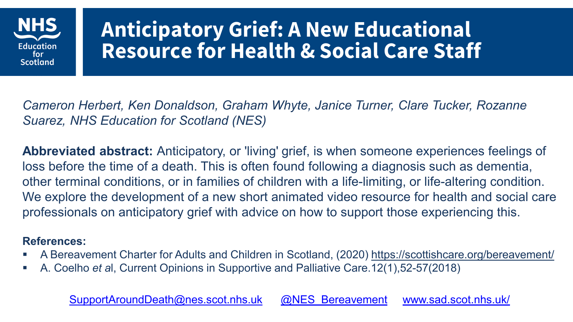

#### **Anticipatory Grief: A New Educational Resource for Health & Social Care Staff**

*Cameron Herbert, Ken Donaldson, Graham Whyte, Janice Turner, Clare Tucker, Rozanne Suarez, NHS Education for Scotland (NES)*

**Abbreviated abstract:** Anticipatory, or 'living' grief, is when someone experiences feelings of loss before the time of a death. This is often found following a diagnosis such as dementia, other terminal conditions, or in families of children with a life-limiting, or life-altering condition. We explore the development of a new short animated video resource for health and social care professionals on anticipatory grief with advice on how to support those experiencing this.

#### **References:**

- A Bereavement Charter for Adults and Children in Scotland, (2020)<https://scottishcare.org/bereavement/>
- A. Coelho *et a*l, Current Opinions in Supportive and Palliative Care.12(1),52-57(2018)

[SupportAroundDeath@nes.scot.nhs.uk](mailto:SupportAroundDeath@nes.scot.nhs.uk) [@NES\\_Bereavement](https://twitter.com/NES_Bereavement) [www.sad.scot.nhs.uk/](http://www.sad.scot.nhs.uk/)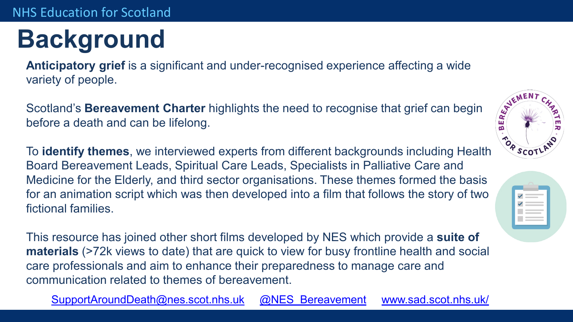## **Background**

**Anticipatory grief** is a significant and under-recognised experience affecting a wide variety of people.

Scotland's **Bereavement Charter** highlights the need to recognise that grief can begin before a death and can be lifelong. before a death and can be lifelong.

To **identify themes**, we interviewed experts from different backgrounds including Health Board Bereavement Leads, Spiritual Care Leads, Specialists in Palliative Care and Medicine for the Elderly, and third sector organisations. These themes formed the basis for an animation script which was then developed into a film that follows the story of two fictional families.

This resource has joined other short films developed by NES which provide a **suite of materials** (>72k views to date) that are quick to view for busy frontline health and social care professionals and aim to enhance their preparedness to manage care and communication related to themes of bereavement.

[SupportAroundDeath@nes.scot.nhs.uk](mailto:SupportAroundDeath@nes.scot.nhs.uk) [@NES\\_Bereavement](https://twitter.com/NES_Bereavement) [www.sad.scot.nhs.uk/](http://www.sad.scot.nhs.uk/)



| ✓            |  |
|--------------|--|
|              |  |
| $\checkmark$ |  |
|              |  |
|              |  |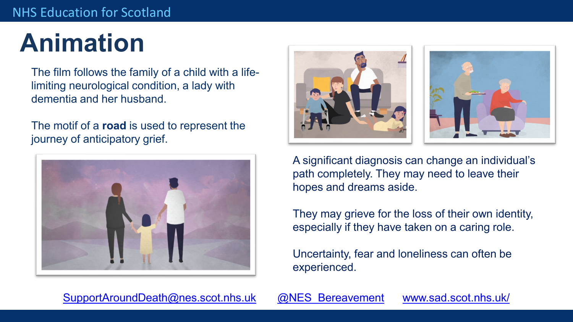### **Animation**

The film follows the family of a child with a lifelimiting neurological condition, a lady with dementia and her husband.

The motif of a **road** is used to represent the journey of anticipatory grief.







A significant diagnosis can change an individual's path completely. They may need to leave their hopes and dreams aside.

They may grieve for the loss of their own identity, especially if they have taken on a caring role.

Uncertainty, fear and loneliness can often be experienced.

[SupportAroundDeath@nes.scot.nhs.uk](mailto:SupportAroundDeath@nes.scot.nhs.uk) @NES Bereavement [www.sad.scot.nhs.uk/](http://www.sad.scot.nhs.uk/)